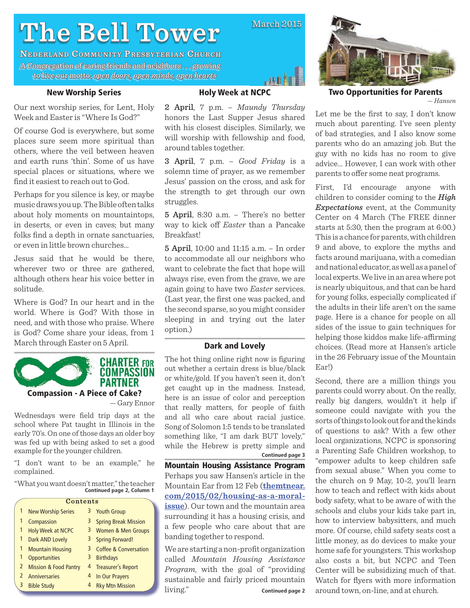# **The Bell Tower he**

**NEDERLAND COMMUNITY PRESBYTERIAN CHURCH** A Congregation of caring friends and neighbors . . . growing to live our motto: motto: *open doors, open minds, open hearts pen open hearts*

# **New Worship Series**

Our next worship series, for Lent, Holy Week and Easter is "Where Is God?"

Of course God is everywhere, but some places sure seem more spiritual than others, where the veil between heaven and earth runs 'thin'. Some of us have special places or situations, where we find it easiest to reach out to God.

Perhaps for you silence is key, or maybe music draws you up. The Bible often talks about holy moments on mountaintops, in deserts, or even in caves; but many folks find a depth in ornate sanctuaries, or even in little brown churches…

Jesus said that he would be there, wherever two or three are gathered, although others hear his voice better in solitude.

Where is God? In our heart and in the world. Where is God? With those in need, and with those who praise. Where is God? Come share your ideas, from 1 March through Easter on 5 April.



Wednesdays were field trip days at the school where Pat taught in Illinois in the early 70's. On one of those days an older boy was fed up with being asked to set a good example for the younger children.

"I don't want to be an example," he complained.

"What you want doesn't matter," the teacher **Continued page 2, Column 1**

|    | Contents                         |   |                                  |
|----|----------------------------------|---|----------------------------------|
| 1  | <b>New Worship Series</b>        | 3 | <b>Youth Group</b>               |
| 1  | Compassion                       | 3 | <b>Spring Break Mission</b>      |
| 1  | <b>Holy Week at NCPC</b>         | 3 | <b>Women &amp; Men Groups</b>    |
| 1  | <b>Dark AND Lovely</b>           | 3 | <b>Spring Forward!</b>           |
| 1  | <b>Mountain Housing</b>          | 3 | <b>Coffee &amp; Conversation</b> |
| 1  | <b>Opportunities</b>             | 3 | <b>Birthdays</b>                 |
| 2  | <b>Mission &amp; Food Pantry</b> | 4 | <b>Treasurer's Report</b>        |
|    | <b>Anniversaries</b>             | 4 | In Our Prayers                   |
| -3 | <b>Bible Study</b>               | 4 | <b>Rky Mtn Mission</b>           |



 $March$  2015

أملس

2 April, 7 p.m. – *Maundy Thursday* honors the Last Supper Jesus shared with his closest disciples. Similarly, we will worship with fellowship and food, around tables together.

3 April, 7 p.m. – *Good Friday* is a solemn time of prayer, as we remember Jesus' passion on the cross, and ask for the strength to get through our own struggles.

5 April, 8:30 a.m. – There's no better way to kick off *Easter* than a Pancake Breakfast!

5 April, 10:00 and 11:15 a.m. – In order to accommodate all our neighbors who want to celebrate the fact that hope will always rise, even from the grave, we are again going to have two *Easter* services. (Last year, the first one was packed, and the second sparse, so you might consider sleeping in and trying out the later option.)

### **Dark and Lovely**

The hot thing online right now is figuring out whether a certain dress is blue/black or white/gold. If you haven't seen it, don't get caught up in the madness. Instead, here is an issue of color and perception that really matters, for people of faith and all who care about racial justice. Song of Solomon 1:5 tends to be translated something like, "I am dark BUT lovely," while the Hebrew is pretty simple and **Continued page 3**

**Mountain Housing Assistance Program**  Perhaps you saw Hansen's article in the Mountain Ear from 12 Feb (**themtnear. com/2015/02/housing-as-a-moralissue**). Our town and the mountain area surrounding it has a housing crisis, and a few people who care about that are banding together to respond.

We are starting a non-profit organization called *Mountain Housing Assistance Program*, with the goal of "providing sustainable and fairly priced mountain living." **Continued page 2**



**Two Opportunities for Parents** *— Hansen*

Let me be the first to say, I don't know much about parenting. I've seen plenty of bad strategies, and I also know some parents who do an amazing job. But the guy with no kids has no room to give advice… However, I can work with other parents to offer some neat programs.

First, I'd encourage anyone with children to consider coming to the *High Expectations* event, at the Community Center on 4 March (The FREE dinner starts at 5:30, then the program at 6:00.) This is a chance for parents, with children 9 and above, to explore the myths and facts around marijuana, with a comedian and national educator, as well as a panel of local experts. We live in an area where pot is nearly ubiquitous, and that can be hard for young folks, especially complicated if the adults in their life aren't on the same page. Here is a chance for people on all sides of the issue to gain techniques for helping those kiddos make life-affirming choices. (Read more at Hansen's article in the 26 February issue of the Mountain Ear!)

Second, there are a million things you parents could worry about. On the really, really big dangers, wouldn't it help if someone could navigate with you the sorts of things to look out for and the kinds of questions to ask? With a few other local organizations, NCPC is sponsoring a Parenting Safe Children workshop, to "empower adults to keep children safe from sexual abuse." When you come to the church on 9 May, 10-2, you'll learn how to teach and reflect with kids about body safety, what to be aware of with the schools and clubs your kids take part in, how to interview babysitters, and much more. Of course, child safety seats cost a little money, as do devices to make your home safe for youngsters. This workshop also costs a bit, but NCPC and Teen Center will be subsidizing much of that. Watch for flyers with more information around town, on-line, and at church.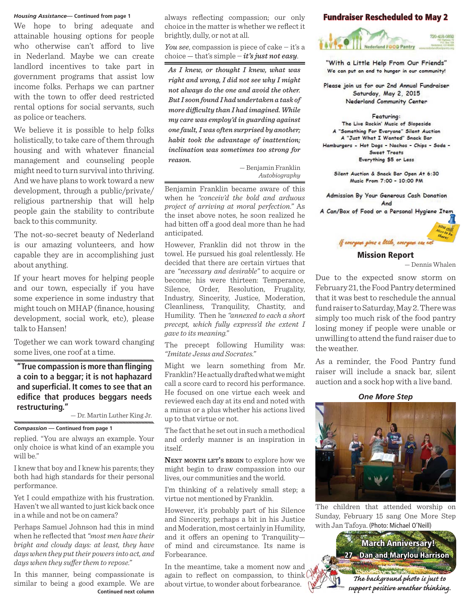### *Housing Assistance***— Continued from page 1**

We hope to bring adequate and attainable housing options for people who otherwise can't afford to live in Nederland. Maybe we can create landlord incentives to take part in government programs that assist low income folks. Perhaps we can partner with the town to offer deed restricted rental options for social servants, such as police or teachers.

We believe it is possible to help folks holistically, to take care of them through housing and with whatever financial management and counseling people might need to turn survival into thriving. And we have plans to work toward a new development, through a public/private/ religious partnership that will help people gain the stability to contribute back to this community.

The not-so-secret beauty of Nederland is our amazing volunteers, and how capable they are in accomplishing just about anything.

If your heart moves for helping people and our town, especially if you have some experience in some industry that might touch on MHAP (finance, housing development, social work, etc), please talk to Hansen!

Together we can work toward changing some lives, one roof at a time.

**"True compassion is more than fl inging a coin to a beggar; it is not haphazard and superfi cial. It comes to see that an edifi ce that produces beggars needs restructuring."**

— Dr. Martin Luther King Jr.

*Compassion* **— Continued from page 1**

replied. "You are always an example. Your only choice is what kind of an example you will be."

I knew that boy and I knew his parents; they both had high standards for their personal performance.

Yet I could empathize with his frustration. Haven't we all wanted to just kick back once in a while and not be on camera?

Perhaps Samuel Johnson had this in mind when he reflected that *"most men have their*" *bright and cloudy days: at least, they have days when they put their powers into act, and days when they suffer them to repose.*"

In this manner, being compassionate is similar to being a good example. We are **Continued next column** always reflecting compassion; our only choice in the matter is whether we reflect it brightly, dully, or not at all.

*You see*, compassion is piece of cake ― it's a choice — that's simple ― *it's just not easy*.

*As I knew, or thought I knew, what was right and wrong, I did not see why I might not always do the one and avoid the other. But I soon found I had undertaken a task of more diffi culty than I had imagined. While my care was employ'd in guarding against one fault, I was often surprised by another; habit took the advantage of inattention; inclination was sometimes too strong for reason.*

*—* Benjamin Franklin *Autobiography*

Benjamin Franklin became aware of this when he *"conceiv'd the bold and arduous project of arriving at moral perfection."* As the inset above notes, he soon realized he had bitten off a good deal more than he had anticipated.

However, Franklin did not throw in the towel. He pursued his goal relentlessly. He decided that there are certain virtues that are *"necessary and desirable"* to acquire or become; his were thirteen: Temperance, Silence, Order, Resolution, Frugality, Industry, Sincerity, Justice, Moderation, Cleanliness, Tranquility, Chastity, and Humility. Then he *"annexed to each a short precept, which fully express'd the extent I gave to its meaning."* 

The precept following Humility was: *"Imitate Jesus and Socrates."*

Might we learn something from Mr. Franklin? He actually drafted what we might call a score card to record his performance. He focused on one virtue each week and reviewed each day at its end and noted with a minus or a plus whether his actions lived up to that virtue or not.

The fact that he set out in such a methodical and orderly manner is an inspiration in itself.

**NEXT MONTH LET'S BEGIN** to explore how we might begin to draw compassion into our lives, our communities and the world.

I'm thinking of a relatively small step; a virtue not mentioned by Franklin.

However, it's probably part of his Silence and Sincerity, perhaps a bit in his Justice and Moderation, most certainly in Humility, and it offers an opening to Tranquilityof mind and circumstance. Its name is Forbearance.

In the meantime, take a moment now and again to reflect on compassion, to think about virtue, to wonder about forbearance.

# **Fundraiser Rescheduled to May 2**



"With a Little Help From Our Friends" We can put an end to hunger in our community!

Please join us for our 2nd Annual Fundraiser Saturday, May 2, 2015 Nederland Community Center

### Featuring:

The Live Rockin' Music of Slopeside A "Something For Everyone" Silent Auction A "Just What I Wanted" Snack Bar Hamburgers - Hot Dogs - Nachos - Chips - Soda -Sweet Treats Everything \$5 or Less

Silent Auction & Snack Bar Open At 6:30 Music From 7:00 - 10:00 PM

Admission By Your Generous Cash Donation And

A Can/Box of Food or a Personal Hygiene Item



# **Mission Report**

— Dennis Whalen

Due to the expected snow storm on February 21, the Food Pantry determined that it was best to reschedule the annual fund raiser to Saturday, May 2. There was simply too much risk of the food pantry losing money if people were unable or unwilling to attend the fund raiser due to the weather.

As a reminder, the Food Pantry fund raiser will include a snack bar, silent auction and a sock hop with a live band.



The children that attended worship on Sunday, February 15 sang One More Step with Jan Tafoya. (Photo: Michael O'Neill)

> **27 Dan and Marylou Harrison** *The background photo is just to support positive weather thinking.*

**March Anniversary!**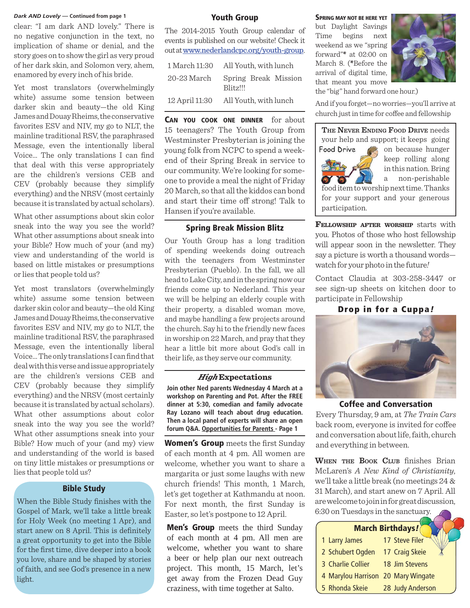no negative conjunction in the text, no implication of shame or denial, and the story goes on to show the girl as very proud of her dark skin, and Solomon very, ahem, enamored by every inch of his bride. *Dark AND Lovely* — Continued from page 1<br>Clear: "I am dark AND lovely." There is  $\frac{1}{2}$  and  $\frac{2045 \text{ N}}{2}$  and  $\frac{3}{2}$  and  $\frac{1}{2}$  and  $\frac{1}{2}$  but Davlight Savings

Yet most translators (overwhelmingly white) assume some tension between darker skin and beauty—the old King James and Douay Rheims, the conservative favorites ESV and NIV, my go to NLT, the mainline traditional RSV, the paraphrased Message, even the intentionally liberal Voice... The only translations I can find that deal with this verse appropriately are the children's versions CEB and CEV (probably because they simplify everything) and the NRSV (most certainly because it is translated by actual scholars).

What other assumptions about skin color sneak into the way you see the world? What other assumptions about sneak into your Bible? How much of your (and my) view and understanding of the world is based on little mistakes or presumptions or lies that people told us?

ere is and AN M lovely. There is no exactly the basis for being the basis for the distribution of the state is a state of the state of the state of the state of the state of the state of the state of the state of the stat Yet most translators (overwhelmingly white) assume some tension between darker skin color and beauty—the old King James and Douay Rheims, the conservative favorites ESV and NIV, my go to NLT, the mainline traditional RSV, the paraphrased Message, even the intentionally liberal Voice... The only translations I can find that deal with this verse and issue appropriately are the children's versions CEB and CEV (probably because they simplify everything) and the NRSV (most certainly because it is translated by actual scholars). What other assumptions about color sneak into the way you see the world? What other assumptions sneak into your Bible? How much of your (and my) view and understanding of the world is based on tiny little mistakes or presumptions or lies that people told us?

### **Bible Study**

When the Bible Study finishes with the Gospel of Mark, we'll take a little break for Holy Week (no meeting 1 Apr), and start anew on 8 April. This is definitely a great opportunity to get into the Bible for the first time, dive deeper into a book you love, share and be shaped by stories of faith, and see God's presence in a new light.

### **Youth Group**

The 2014-2015 Youth Group calendar of events is published on our website! Check it out at www.nederlandcpc.org/youth-group.

| 1 March 11:30  | All Youth, with lunch            |
|----------------|----------------------------------|
| 20-23 March    | Spring Break Mission<br>Blitz!!! |
| 12 April 11:30 | All Youth, with lunch            |

**CAN YOU COOK ONE DINNER** for about 15 teenagers? The Youth Group from Westminster Presbyterian is joining the young folk from NCPC to spend a weekend of their Spring Break in service to our community. We're looking for someone to provide a meal the night of Friday 20 March, so that all the kiddos can bond and start their time off strong! Talk to Hansen if you're available.

### **Spring Break Mission Blitz**

Our Youth Group has a long tradition of spending weekends doing outreach with the teenagers from Westminster Presbyterian (Pueblo). In the fall, we all head to Lake City, and in the spring now our friends come up to Nederland. This year we will be helping an elderly couple with their property, a disabled woman move, and maybe handling a few projects around the church. Say hi to the friendly new faces in worship on 22 March, and pray that they hear a little bit more about God's call in their life, as they serve our community.

### *High* **Expectations**

**Join other Ned parents Wednesday 4 March at a workshop on Parenting and Pot. After the FREE dinner at 5:30, comedian and family advocate Ray Lozano will teach about drug education. Then a local panel of experts will share an open forum Q&A. Opportunities for Parents - Page 1**

**Women's Group** meets the first Sunday of each month at 4 pm. All women are welcome, whether you want to share a margarita or just some laughs with new church friends! This month, 1 March, let's get together at Kathmandu at noon. For next month, the first Sunday is Easter, so let's postpone to 12 April.

**Men's Group** meets the third Sunday of each month at 4 pm. All men are welcome, whether you want to share a beer or help plan our next outreach project. This month, 15 March, let's get away from the Frozen Dead Guy craziness, with time together at Salto.

but Daylight Savings Time begins next weekend as we "spring forward"**\*** at 02:00 on March 8. (**\***Before the arrival of digital time, that meant you move



the "big" hand forward one hour.)

And if you forget—no worries—you'll arrive at church just in time for coffee and fellowship



keep rolling along in this nation. Bring a non-perishable

food item to worship next time. Thanks for your support and your generous participation.

**FELLOWSHIP AFTER WORSHIP** starts with you. Photos of those who host fellowship will appear soon in the newsletter. They say a picture is worth a thousand words watch for your photo in the future*!*

Contact Claudia at 303-258-3447 or see sign-up sheets on kitchen door to participate in Fellowship

**Drop in for a Cuppa***!*



### **Coffee and Conversation**

Every Thursday, 9 am, at *The Train Cars* back room, everyone is invited for coffee and conversation about life, faith, church and everything in between.

**WHEN** THE BOOK CLUB finishes Brian McLaren's *A New Kind of Christianity*, we'll take a little break (no meetings 24 & 31 March), and start anew on 7 April. All are welcome to join in for great discussion, 6:30 on Tuesdays in the sanctuary.

|                   | <b>March Birthdays!</b>            |  |
|-------------------|------------------------------------|--|
| 1 Larry James     | 17 Steve Filer                     |  |
| 2 Schubert Ogden  | 17 Craig Skeie                     |  |
| 3 Charlie Collier | 18 Jim Stevens                     |  |
|                   | 4 Marylou Harrison 20 Mary Wingate |  |
| 5 Rhonda Skeie    | 28 Judy Anderson                   |  |